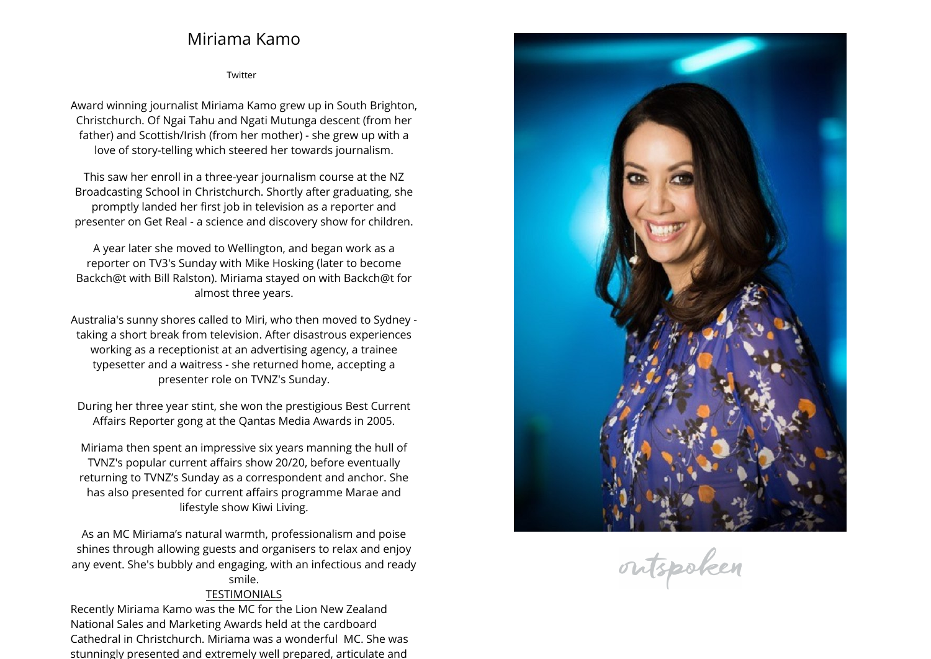## **Miriama Kamo**

**[Twitter](https://twitter.com/MiriamaKamo)**

**Award winning journalist Miriama Kamo grew up in South Brighton, Christchurch. Of Ngai Tahu and Ngati Mutunga descent (from her father) and Scottish/Irish (from her mother) - she grew up with <sup>a</sup> love of story-telling which steered her towards journalism.**

**This saw her enroll in <sup>a</sup> three-year journalism course at the NZ Broadcasting School in Christchurch. Shortly after graduating, she promptly landed her first job in television as <sup>a</sup> reporter and presenter on Get Real - <sup>a</sup> science and discovery show for children.**

**A year later she moved to Wellington, and began work as <sup>a</sup> reporter on TV3's Sunday with Mike Hosking (later to become Backch@t with Bill Ralston). Miriama stayed on with Backch@t for almost three years.**

**Australia's sunny shores called to Miri, who then moved to Sydney - taking <sup>a</sup> short break from television. After disastrous experiences working as <sup>a</sup> receptionist at an advertising agency, <sup>a</sup> trainee typesetter and <sup>a</sup> waitress - she returned home, accepting <sup>a</sup> presenter role on TVNZ's Sunday.**

**During her three year stint, she won the prestigious Best Current Affairs Reporter gong at the Qantas Media Awards in 2005.**

**Miriama then spent an impressive six years manning the hull of TVNZ's popular current affairs show 20/20, before eventually returning to TVNZ's Sunday as <sup>a</sup> correspondent and anchor. She has also presented for current affairs programme Marae and lifestyle show Kiwi Living.**

**As an MC Miriama's natural warmth, professionalism and poise shines through allowing guests and organisers to relax and enjoy any event. She's bubbly and engaging, with an infectious and ready smile.**

## **TESTIMONIALS**

 **Recently Miriama Kamo was the MC for the Lion New Zealand National Sales and Marketing Awards held at the cardboard Cathedral in Christchurch. Miriama was <sup>a</sup> wonderful MC. She was stunningly presented and extremely well prepared, articulate and**



outspoken